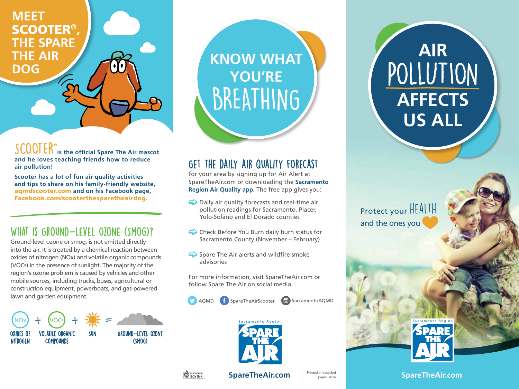**MEET**  SCOOTER**® , THE SPARE THE AIR DOG** 

SCOOTER**® is the official Spare The Air mascot and he loves teaching friends how to reduce air pollution!**

**Scooter has a lot of fun air quality activities and tips to share on his family-friendly website,**  aqmdscooter.com **and on his Facebook page,**  Facebook.com/scooterthesparetheairdog.

## WHAT IS GROUND-LEVEL OZONE (SMOG)?

Ground-level ozone or smog, is not emitted directly into the air. It is created by a chemical reaction between oxides of nitrogen (NOx) and volatile organic compounds (VOCs) in the presence of sunlight. The majority of the region's ozone problem is caused by vehicles and other mobile sources, including trucks, buses, agricultural or construction equipment, powerboats, and gas-powered lawn and garden equipment.



**KNOW WHAT YOU'RE BREATHING** 

# Get the daily air quality forecast

for your area by signing up for Air Alert at SpareTheAir.com or downloading the **Sacramento Region Air Quality app.** The free app gives you:

- $\Rightarrow$  Daily air quality forecasts and real-time air pollution readings for Sacramento, Placer, Yolo-Solano and El Dorado counties
- $\Rightarrow$  Check Before You Burn daily burn status for Sacramento County (November – February)
- $\leftrightarrow$  Spare The Air alerts and wildfire smoke advisories

For more information, visit SpareTheAir.com or follow Spare The Air on social media.

AQMD **f** SpareTheAirScooter **U** SacramentoAQMD



POLLUTION **AFFECTS US ALL**

**AIR**

Protect your HEALTH and the ones you



**SpareTheAir.com** Printed on recycled

**SpareTheAir.com**